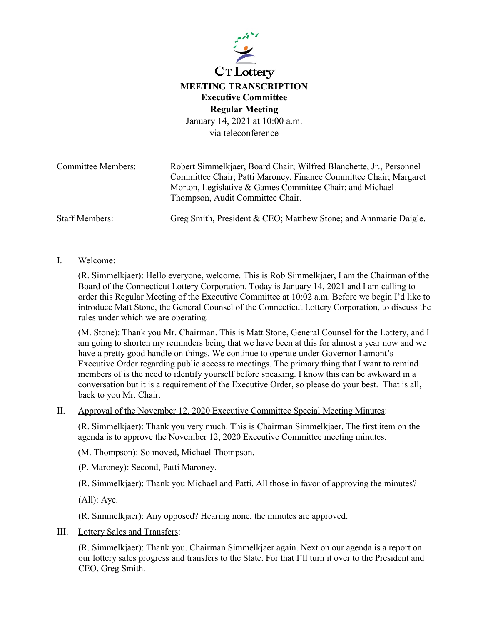

## **MEETING TRANSCRIPTION Executive Committee Regular Meeting**

January 14, 2021 at 10:00 a.m. via teleconference

Committee Members: Robert Simmelkjaer, Board Chair; Wilfred Blanchette, Jr., Personnel Committee Chair; Patti Maroney, Finance Committee Chair; Margaret Morton, Legislative & Games Committee Chair; and Michael Thompson, Audit Committee Chair. Staff Members: Greg Smith, President & CEO; Matthew Stone; and Annmarie Daigle.

## I. Welcome:

(R. Simmelkjaer): Hello everyone, welcome. This is Rob Simmelkjaer, I am the Chairman of the Board of the Connecticut Lottery Corporation. Today is January 14, 2021 and I am calling to order this Regular Meeting of the Executive Committee at 10:02 a.m. Before we begin I'd like to introduce Matt Stone, the General Counsel of the Connecticut Lottery Corporation, to discuss the rules under which we are operating.

(M. Stone): Thank you Mr. Chairman. This is Matt Stone, General Counsel for the Lottery, and I am going to shorten my reminders being that we have been at this for almost a year now and we have a pretty good handle on things. We continue to operate under Governor Lamont's Executive Order regarding public access to meetings. The primary thing that I want to remind members of is the need to identify yourself before speaking. I know this can be awkward in a conversation but it is a requirement of the Executive Order, so please do your best. That is all, back to you Mr. Chair.

## II. Approval of the November 12, 2020 Executive Committee Special Meeting Minutes:

(R. Simmelkjaer): Thank you very much. This is Chairman Simmelkjaer. The first item on the agenda is to approve the November 12, 2020 Executive Committee meeting minutes.

(M. Thompson): So moved, Michael Thompson.

(P. Maroney): Second, Patti Maroney.

(R. Simmelkjaer): Thank you Michael and Patti. All those in favor of approving the minutes?

(All): Aye.

(R. Simmelkjaer): Any opposed? Hearing none, the minutes are approved.

III. Lottery Sales and Transfers:

(R. Simmelkjaer): Thank you. Chairman Simmelkjaer again. Next on our agenda is a report on our lottery sales progress and transfers to the State. For that I'll turn it over to the President and CEO, Greg Smith.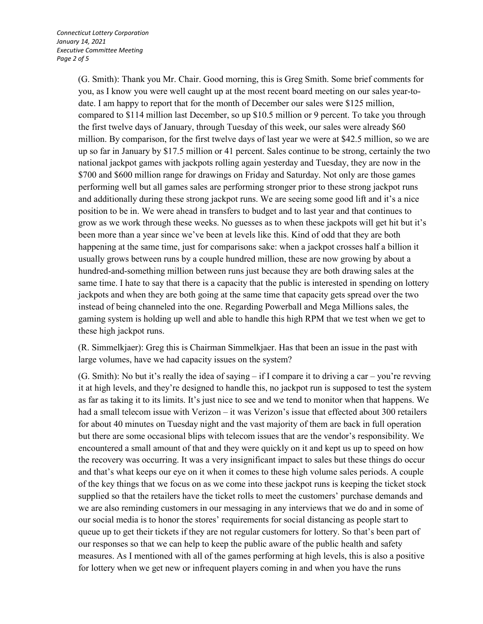(G. Smith): Thank you Mr. Chair. Good morning, this is Greg Smith. Some brief comments for you, as I know you were well caught up at the most recent board meeting on our sales year-todate. I am happy to report that for the month of December our sales were \$125 million, compared to \$114 million last December, so up \$10.5 million or 9 percent. To take you through the first twelve days of January, through Tuesday of this week, our sales were already \$60 million. By comparison, for the first twelve days of last year we were at \$42.5 million, so we are up so far in January by \$17.5 million or 41 percent. Sales continue to be strong, certainly the two national jackpot games with jackpots rolling again yesterday and Tuesday, they are now in the \$700 and \$600 million range for drawings on Friday and Saturday. Not only are those games performing well but all games sales are performing stronger prior to these strong jackpot runs and additionally during these strong jackpot runs. We are seeing some good lift and it's a nice position to be in. We were ahead in transfers to budget and to last year and that continues to grow as we work through these weeks. No guesses as to when these jackpots will get hit but it's been more than a year since we've been at levels like this. Kind of odd that they are both happening at the same time, just for comparisons sake: when a jackpot crosses half a billion it usually grows between runs by a couple hundred million, these are now growing by about a hundred-and-something million between runs just because they are both drawing sales at the same time. I hate to say that there is a capacity that the public is interested in spending on lottery jackpots and when they are both going at the same time that capacity gets spread over the two instead of being channeled into the one. Regarding Powerball and Mega Millions sales, the gaming system is holding up well and able to handle this high RPM that we test when we get to these high jackpot runs.

(R. Simmelkjaer): Greg this is Chairman Simmelkjaer. Has that been an issue in the past with large volumes, have we had capacity issues on the system?

(G. Smith): No but it's really the idea of saying – if I compare it to driving a car – you're revving it at high levels, and they're designed to handle this, no jackpot run is supposed to test the system as far as taking it to its limits. It's just nice to see and we tend to monitor when that happens. We had a small telecom issue with Verizon – it was Verizon's issue that effected about 300 retailers for about 40 minutes on Tuesday night and the vast majority of them are back in full operation but there are some occasional blips with telecom issues that are the vendor's responsibility. We encountered a small amount of that and they were quickly on it and kept us up to speed on how the recovery was occurring. It was a very insignificant impact to sales but these things do occur and that's what keeps our eye on it when it comes to these high volume sales periods. A couple of the key things that we focus on as we come into these jackpot runs is keeping the ticket stock supplied so that the retailers have the ticket rolls to meet the customers' purchase demands and we are also reminding customers in our messaging in any interviews that we do and in some of our social media is to honor the stores' requirements for social distancing as people start to queue up to get their tickets if they are not regular customers for lottery. So that's been part of our responses so that we can help to keep the public aware of the public health and safety measures. As I mentioned with all of the games performing at high levels, this is also a positive for lottery when we get new or infrequent players coming in and when you have the runs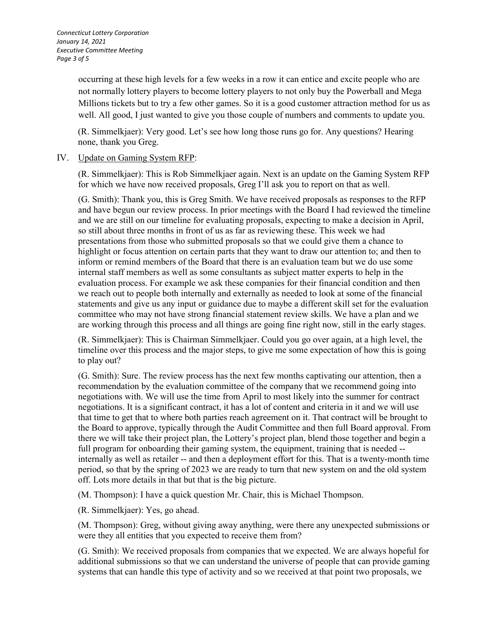occurring at these high levels for a few weeks in a row it can entice and excite people who are not normally lottery players to become lottery players to not only buy the Powerball and Mega Millions tickets but to try a few other games. So it is a good customer attraction method for us as well. All good, I just wanted to give you those couple of numbers and comments to update you.

(R. Simmelkjaer): Very good. Let's see how long those runs go for. Any questions? Hearing none, thank you Greg.

## IV. Update on Gaming System RFP:

(R. Simmelkjaer): This is Rob Simmelkjaer again. Next is an update on the Gaming System RFP for which we have now received proposals, Greg I'll ask you to report on that as well.

(G. Smith): Thank you, this is Greg Smith. We have received proposals as responses to the RFP and have begun our review process. In prior meetings with the Board I had reviewed the timeline and we are still on our timeline for evaluating proposals, expecting to make a decision in April, so still about three months in front of us as far as reviewing these. This week we had presentations from those who submitted proposals so that we could give them a chance to highlight or focus attention on certain parts that they want to draw our attention to; and then to inform or remind members of the Board that there is an evaluation team but we do use some internal staff members as well as some consultants as subject matter experts to help in the evaluation process. For example we ask these companies for their financial condition and then we reach out to people both internally and externally as needed to look at some of the financial statements and give us any input or guidance due to maybe a different skill set for the evaluation committee who may not have strong financial statement review skills. We have a plan and we are working through this process and all things are going fine right now, still in the early stages.

(R. Simmelkjaer): This is Chairman Simmelkjaer. Could you go over again, at a high level, the timeline over this process and the major steps, to give me some expectation of how this is going to play out?

(G. Smith): Sure. The review process has the next few months captivating our attention, then a recommendation by the evaluation committee of the company that we recommend going into negotiations with. We will use the time from April to most likely into the summer for contract negotiations. It is a significant contract, it has a lot of content and criteria in it and we will use that time to get that to where both parties reach agreement on it. That contract will be brought to the Board to approve, typically through the Audit Committee and then full Board approval. From there we will take their project plan, the Lottery's project plan, blend those together and begin a full program for onboarding their gaming system, the equipment, training that is needed -internally as well as retailer -- and then a deployment effort for this. That is a twenty-month time period, so that by the spring of 2023 we are ready to turn that new system on and the old system off. Lots more details in that but that is the big picture.

(M. Thompson): I have a quick question Mr. Chair, this is Michael Thompson.

(R. Simmelkjaer): Yes, go ahead.

(M. Thompson): Greg, without giving away anything, were there any unexpected submissions or were they all entities that you expected to receive them from?

(G. Smith): We received proposals from companies that we expected. We are always hopeful for additional submissions so that we can understand the universe of people that can provide gaming systems that can handle this type of activity and so we received at that point two proposals, we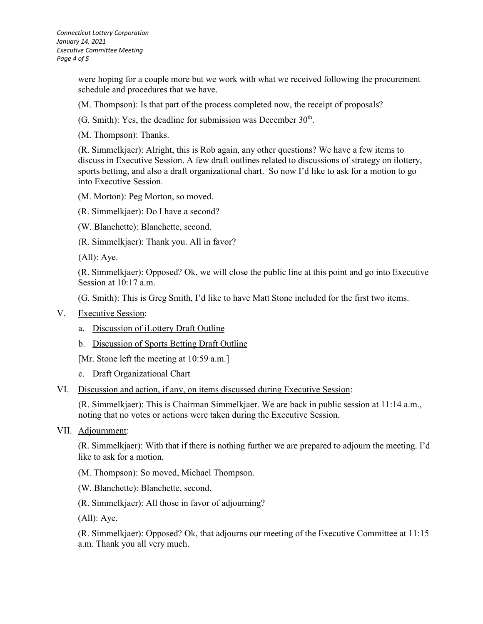were hoping for a couple more but we work with what we received following the procurement schedule and procedures that we have.

(M. Thompson): Is that part of the process completed now, the receipt of proposals?

(G. Smith): Yes, the deadline for submission was December  $30<sup>th</sup>$ .

(M. Thompson): Thanks.

(R. Simmelkjaer): Alright, this is Rob again, any other questions? We have a few items to discuss in Executive Session. A few draft outlines related to discussions of strategy on ilottery, sports betting, and also a draft organizational chart. So now I'd like to ask for a motion to go into Executive Session.

(M. Morton): Peg Morton, so moved.

(R. Simmelkjaer): Do I have a second?

(W. Blanchette): Blanchette, second.

(R. Simmelkjaer): Thank you. All in favor?

(All): Aye.

(R. Simmelkjaer): Opposed? Ok, we will close the public line at this point and go into Executive Session at 10:17 a.m.

(G. Smith): This is Greg Smith, I'd like to have Matt Stone included for the first two items.

- V. Executive Session:
	- a. Discussion of iLottery Draft Outline
	- b. Discussion of Sports Betting Draft Outline

[Mr. Stone left the meeting at 10:59 a.m.]

c. Draft Organizational Chart

VI. Discussion and action, if any, on items discussed during Executive Session:

(R. Simmelkjaer): This is Chairman Simmelkjaer. We are back in public session at 11:14 a.m., noting that no votes or actions were taken during the Executive Session.

VII. Adjournment:

(R. Simmelkjaer): With that if there is nothing further we are prepared to adjourn the meeting. I'd like to ask for a motion.

(M. Thompson): So moved, Michael Thompson.

(W. Blanchette): Blanchette, second.

(R. Simmelkjaer): All those in favor of adjourning?

(All): Aye.

(R. Simmelkjaer): Opposed? Ok, that adjourns our meeting of the Executive Committee at 11:15 a.m. Thank you all very much.